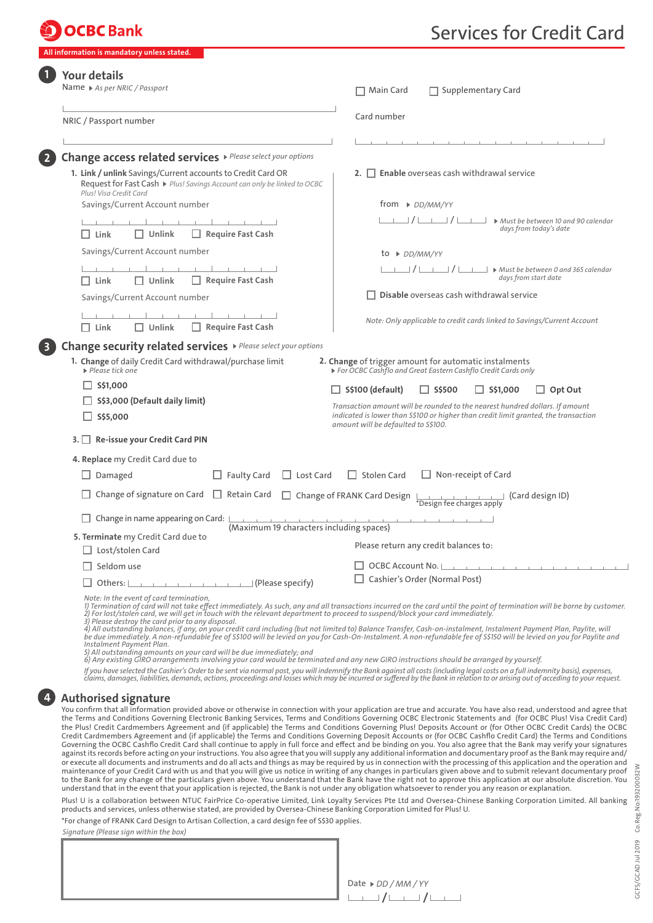## **OCBC** Bank

**Information is mandatory unless stated** 

# Services for Credit Card

| Name ▶ As per NRIC / Passport                                                                                                                                                                                                                                                                                                     | Supplementary Card<br>Main Card                                                                                                                                                                                                                                                                                                                                                                                 |  |
|-----------------------------------------------------------------------------------------------------------------------------------------------------------------------------------------------------------------------------------------------------------------------------------------------------------------------------------|-----------------------------------------------------------------------------------------------------------------------------------------------------------------------------------------------------------------------------------------------------------------------------------------------------------------------------------------------------------------------------------------------------------------|--|
|                                                                                                                                                                                                                                                                                                                                   | Card number                                                                                                                                                                                                                                                                                                                                                                                                     |  |
| NRIC / Passport number                                                                                                                                                                                                                                                                                                            |                                                                                                                                                                                                                                                                                                                                                                                                                 |  |
|                                                                                                                                                                                                                                                                                                                                   |                                                                                                                                                                                                                                                                                                                                                                                                                 |  |
| Change access related services > Please select your options                                                                                                                                                                                                                                                                       |                                                                                                                                                                                                                                                                                                                                                                                                                 |  |
| 1. Link / unlink Savings/Current accounts to Credit Card OR<br>Request for Fast Cash ▶ Plus! Savings Account can only be linked to OCBC<br>Plus! Visa Credit Card                                                                                                                                                                 | <b>2.</b> $\Box$ <b>Enable</b> overseas cash withdrawal service                                                                                                                                                                                                                                                                                                                                                 |  |
| Savings/Current Account number                                                                                                                                                                                                                                                                                                    | from $\triangleright$ DD/MM/YY                                                                                                                                                                                                                                                                                                                                                                                  |  |
|                                                                                                                                                                                                                                                                                                                                   | $\perp$ / $\perp$ / $\perp$ / $\perp$ $\perp$ $\perp$ $\perp$ $\perp$ Must be between 10 and 90 calendar                                                                                                                                                                                                                                                                                                        |  |
| $\Box$ Require Fast Cash<br>$\Box$ Link<br>$\Box$ Unlink                                                                                                                                                                                                                                                                          | days from today's date                                                                                                                                                                                                                                                                                                                                                                                          |  |
| Savings/Current Account number                                                                                                                                                                                                                                                                                                    | to $\triangleright$ DD/MM/YY                                                                                                                                                                                                                                                                                                                                                                                    |  |
| and the control of the                                                                                                                                                                                                                                                                                                            | $\Box$ / $\Box$ / $\Box$ $\Box$ > Must be between 0 and 365 calendar                                                                                                                                                                                                                                                                                                                                            |  |
| $\Box$ Require Fast Cash<br>$\Box$ Link<br>$\Box$ Unlink                                                                                                                                                                                                                                                                          | days from start date                                                                                                                                                                                                                                                                                                                                                                                            |  |
| Savings/Current Account number                                                                                                                                                                                                                                                                                                    | Disable overseas cash withdrawal service                                                                                                                                                                                                                                                                                                                                                                        |  |
|                                                                                                                                                                                                                                                                                                                                   |                                                                                                                                                                                                                                                                                                                                                                                                                 |  |
| $\Box$ Require Fast Cash<br>$\Box$ Unlink<br>$\Box$ Link                                                                                                                                                                                                                                                                          | Note: Only applicable to credit cards linked to Savings/Current Account                                                                                                                                                                                                                                                                                                                                         |  |
| $\Box$ S\$1,000<br>$\Box$ S\$3,000 (Default daily limit)<br>$\Box$ S\$5,000                                                                                                                                                                                                                                                       | $\Box$ S\$100 (default)<br>$\Box$ S\$500<br>$\Box$ S\$1,000<br>Opt Out<br>Transaction amount will be rounded to the nearest hundred dollars. If amount<br>indicated is lower than S\$100 or higher than credit limit granted, the transaction<br>amount will be defaulted to S\$100.                                                                                                                            |  |
| 3. Re-issue your Credit Card PIN                                                                                                                                                                                                                                                                                                  |                                                                                                                                                                                                                                                                                                                                                                                                                 |  |
| 4. Replace my Credit Card due to                                                                                                                                                                                                                                                                                                  |                                                                                                                                                                                                                                                                                                                                                                                                                 |  |
| $\Box$ Damaged<br>$\Box$ Faulty Card<br>$\Box$ Lost Card                                                                                                                                                                                                                                                                          | $\Box$ Non-receipt of Card<br>$\Box$ Stolen Card                                                                                                                                                                                                                                                                                                                                                                |  |
| Change of signature on Card $\Box$ Retain Card                                                                                                                                                                                                                                                                                    | $\Box$ Change of FRANK Card Design<br>$\downarrow$ $\downarrow$ $\downarrow$ $\downarrow$ $\downarrow$ $\downarrow$ (Card design ID)                                                                                                                                                                                                                                                                            |  |
| Change in name appearing on Card:                                                                                                                                                                                                                                                                                                 | and the control of the                                                                                                                                                                                                                                                                                                                                                                                          |  |
| (Maximum 19 characters including spaces)<br>5. Terminate my Credit Card due to                                                                                                                                                                                                                                                    |                                                                                                                                                                                                                                                                                                                                                                                                                 |  |
| $\Box$ Lost/stolen Card                                                                                                                                                                                                                                                                                                           | Please return any credit balances to:                                                                                                                                                                                                                                                                                                                                                                           |  |
| $\Box$ Seldom use                                                                                                                                                                                                                                                                                                                 | $\Box$ OCBC Account No.                                                                                                                                                                                                                                                                                                                                                                                         |  |
|                                                                                                                                                                                                                                                                                                                                   | Cashier's Order (Normal Post)                                                                                                                                                                                                                                                                                                                                                                                   |  |
| Note: In the event of card termination,<br>2) For lost/stolen card, we will get in touch with the relevant department to proceed to suspend/block your card immediately.<br>3) Please destroy the card prior to any disposal.<br>Instalment Payment Plan.<br>5) All outstanding amounts on your card will be due immediately: and | 1) Termination of card will not take effect immediately. As such, any and all transactions incurred on the card until the point of termination will be borne by customer.<br>4) All outstanding balances, if any, on your credit card including (but not limited to) Balance Transfer, Cash-on-instalment, Instalment Payment Plan, Paylite, will<br>be due immediately. A non-refundable fee of S\$100 will be |  |

*5) All outstanding amounts on your card will be due immediately; and 6) Any existing GIRO arrangements involving your card would be terminated and any new GIRO instructions should be arranged by yourself.*

*If you have selected the Cashier's Order to be sent via normal post, you will indemnify the Bank against all costs (including legal costs on a full indemnity basis), expenses, claims, damages, liabilities, demands, actions, proceedings and losses which may be incurred or suffered by the Bank in relation to or arising out of acceding to your request.*

### **4 Authorised signature**

You confirm that all information provided above or otherwise in connection with your application are true and accurate. You have also read, understood and agree that the Terms and Conditions Governing Electronic Banking Services, Terms and Conditions Governing OCBC Electronic Statements and (for OCBC Plus! Visa Credit Card) the Plus! Credit Cardmembers Agreement and (if applicable) the Terms and Conditions Governing Plus! Deposits Account or (for Other OCBC Credit Cards) the OCBC Credit Cardmembers Agreement and (if applicable) the Terms and Conditions Governing Deposit Accounts or (for OCBC Cashflo Credit Card) the Terms and Conditions Governing the OCBC Cashflo Credit Card shall continue to apply in full force and effect and be binding on you. You also agree that the Bank may verify your signatures against its records before acting on your instructions. You also agree that you will supply any additional information and documentary proof as the Bank may require and/ or execute all documents and instruments and do all acts and things as may be required by us in connection with the processing of this application and the operation and maintenance of your Credit Card with us and that you will give us notice in writing of any changes in particulars given above and to submit relevant documentary proof<br>to the Bank for any change of the particulars given abo understand that in the event that your application is rejected, the Bank is not under any obligation whatsoever to render you any reason or explanation. Plus! U is a collaboration between NTUC FairPrice Co-operative Limited, Link Loyalty Services Pte Ltd and Oversea-Chinese Banking Corporation Limited. All banking products and services, unless otherwise stated, are provided by Oversea-Chinese Banking Corporation Limited for Plus! U.

\*For change of FRANK Card Design to Artisan Collection, a card design fee of S\$30 applies.

*Signature (Please sign within the box)*

**/ /** Date *DD / MM / YY*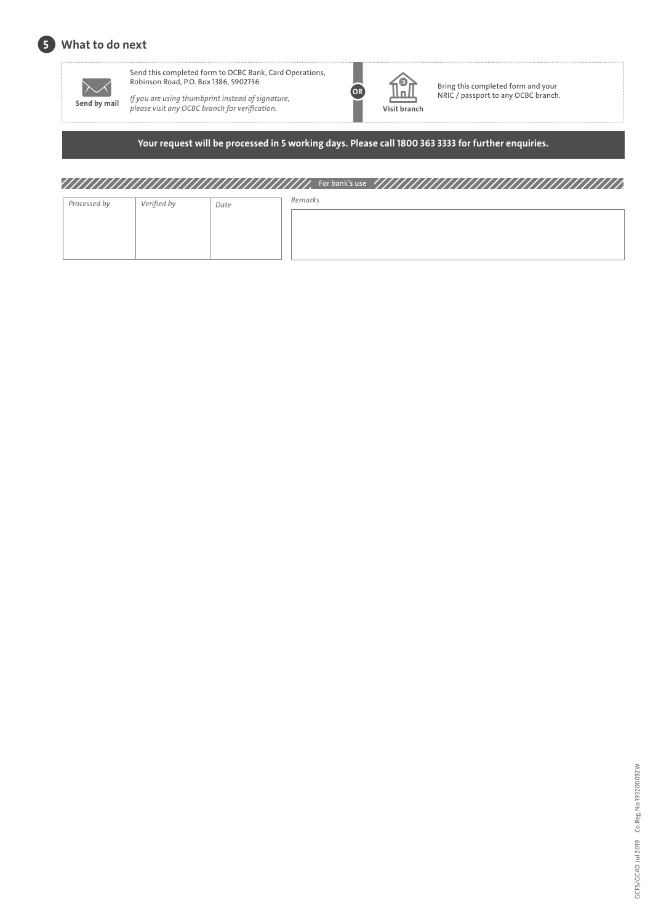



Send this completed form to OCBC Bank, Card Operations,

If you are using thumbprint instead of signature, **p p** *please visit any OCBC branch for verification.* **Visit branch Send by mail** *Please visit any OCBC branch for verification.* **<b>Visit branch** 



 $\prod_{N}^{\text{B}}$  Bring this completed form and your<br>NRIC / passport to any OCBC branch.

### **Your request will be processed in 5 working days. Please call 1800 363 3333 for further enquiries.**

## For bank's use

| Processed by | Verified by | Date | Remarks |
|--------------|-------------|------|---------|
|              |             |      |         |
|              |             |      |         |
|              |             |      |         |
|              |             |      |         |